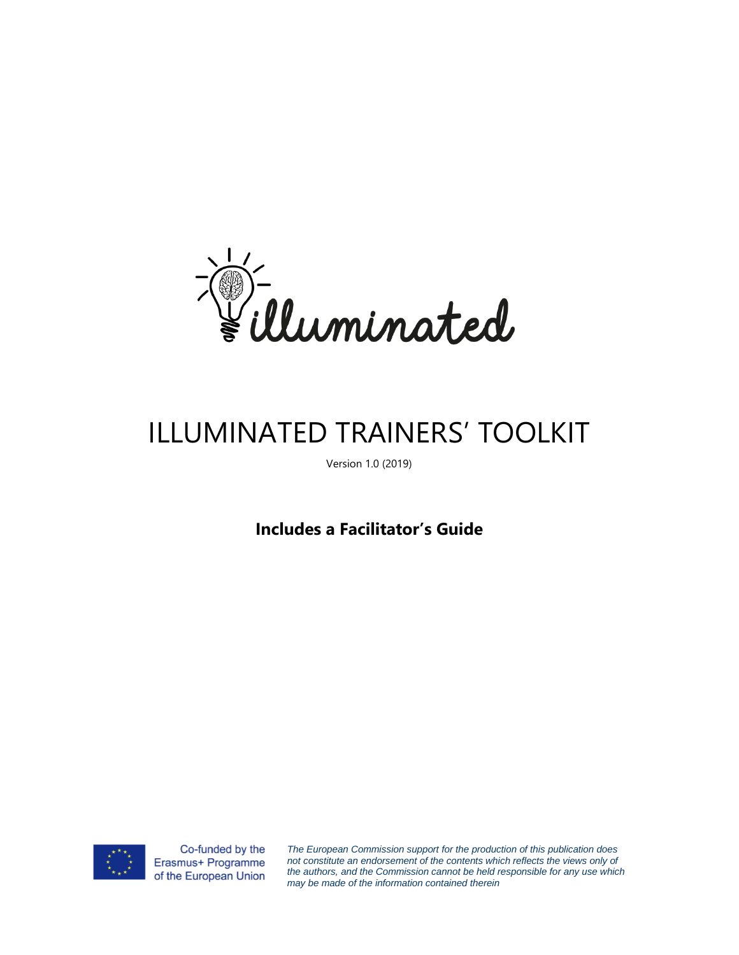

# ILLUMINATED TRAINERS' TOOLKIT

Version 1.0 (2019)

**Includes a Facilitator's Guide** 



Co-funded by the Erasmus+ Programme of the European Union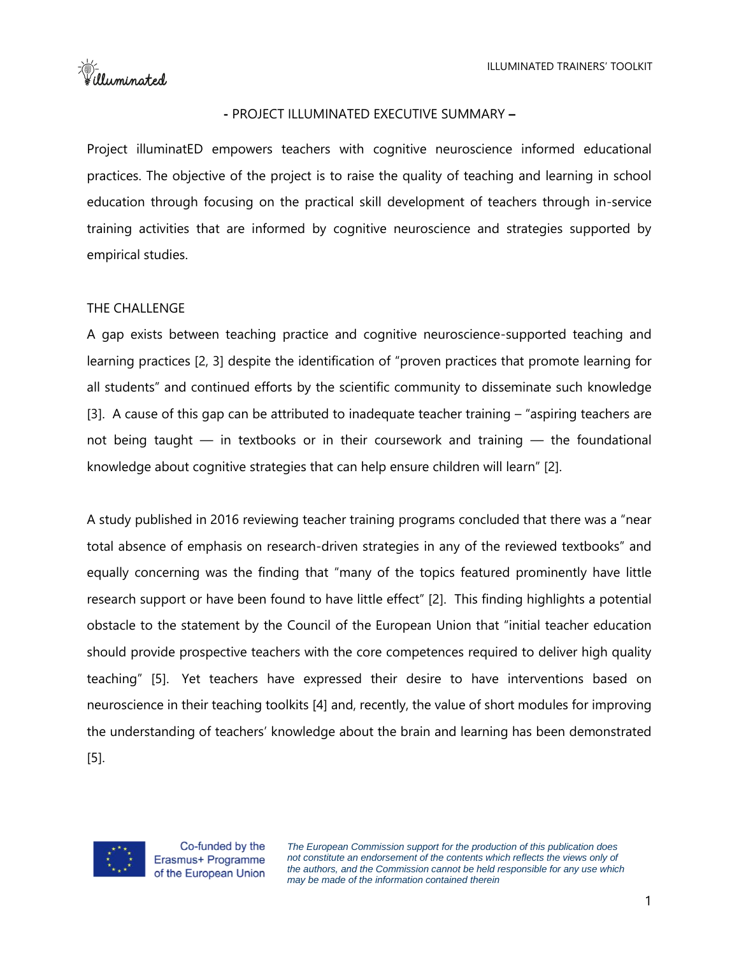=\\\frac{\mated}<br>\\frac{\mated}

#### **-** PROJECT ILLUMINATED EXECUTIVE SUMMARY **–**

Project illuminatED empowers teachers with cognitive neuroscience informed educational practices. The objective of the project is to raise the quality of teaching and learning in school education through focusing on the practical skill development of teachers through in-service training activities that are informed by cognitive neuroscience and strategies supported by empirical studies.

### THE CHALLENGE

A gap exists between teaching practice and cognitive neuroscience-supported teaching and learning practices [2, 3] despite the identification of "proven practices that promote learning for all students" and continued efforts by the scientific community to disseminate such knowledge [3]. A cause of this gap can be attributed to inadequate teacher training – "aspiring teachers are not being taught — in textbooks or in their coursework and training — the foundational knowledge about cognitive strategies that can help ensure children will learn" [2].

A study published in 2016 reviewing teacher training programs concluded that there was a "near total absence of emphasis on research-driven strategies in any of the reviewed textbooks" and equally concerning was the finding that "many of the topics featured prominently have little research support or have been found to have little effect" [2]. This finding highlights a potential obstacle to the statement by the Council of the European Union that "initial teacher education should provide prospective teachers with the core competences required to deliver high quality teaching" [5]. Yet teachers have expressed their desire to have interventions based on neuroscience in their teaching toolkits [4] and, recently, the value of short modules for improving the understanding of teachers' knowledge about the brain and learning has been demonstrated [5].

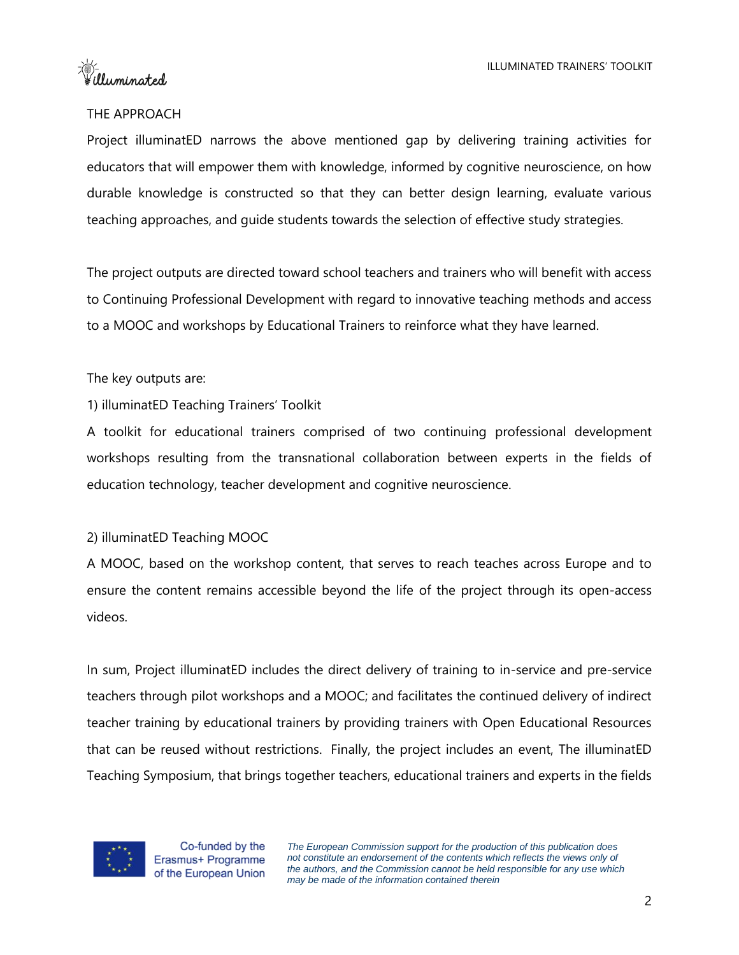telluminated

## THE APPROACH

Project illuminatED narrows the above mentioned gap by delivering training activities for educators that will empower them with knowledge, informed by cognitive neuroscience, on how durable knowledge is constructed so that they can better design learning, evaluate various teaching approaches, and guide students towards the selection of effective study strategies.

The project outputs are directed toward school teachers and trainers who will benefit with access to Continuing Professional Development with regard to innovative teaching methods and access to a MOOC and workshops by Educational Trainers to reinforce what they have learned.

### The key outputs are:

### 1) illuminatED Teaching Trainers' Toolkit

A toolkit for educational trainers comprised of two continuing professional development workshops resulting from the transnational collaboration between experts in the fields of education technology, teacher development and cognitive neuroscience.

### 2) illuminatED Teaching MOOC

A MOOC, based on the workshop content, that serves to reach teaches across Europe and to ensure the content remains accessible beyond the life of the project through its open-access videos.

In sum, Project illuminatED includes the direct delivery of training to in-service and pre-service teachers through pilot workshops and a MOOC; and facilitates the continued delivery of indirect teacher training by educational trainers by providing trainers with Open Educational Resources that can be reused without restrictions. Finally, the project includes an event, The illuminatED Teaching Symposium, that brings together teachers, educational trainers and experts in the fields

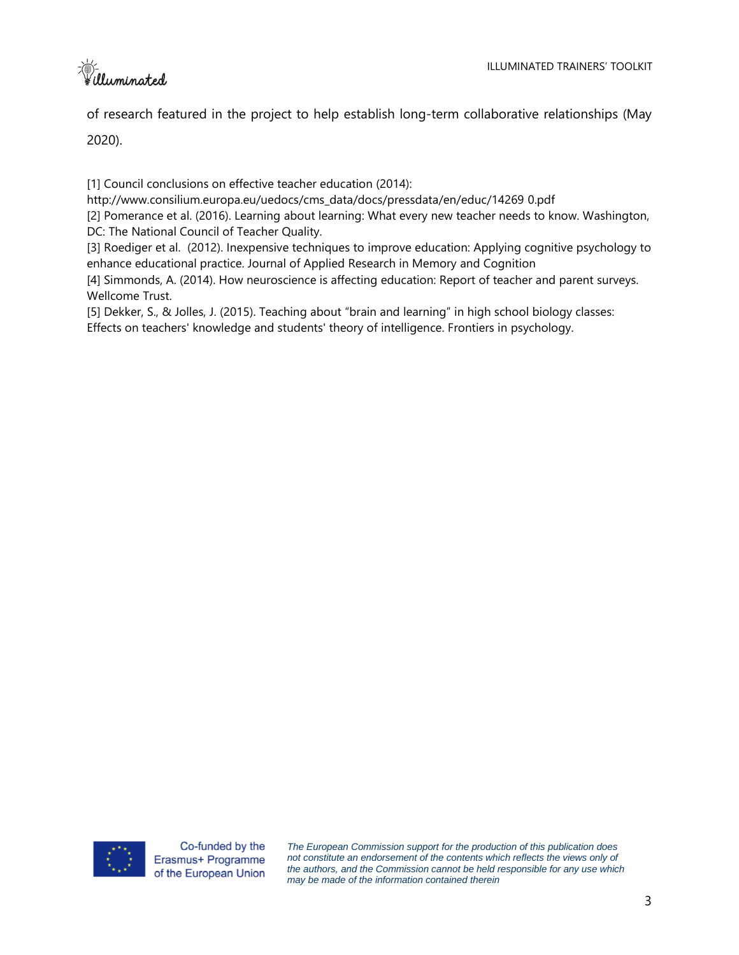A-<br>Willuminated

of research featured in the project to help establish long-term collaborative relationships (May

2020).

[1] Council conclusions on effective teacher education (2014):

[http://www.consilium.europa.eu/uedocs/cms\\_data/docs/pressdata/en/educ/14269](http://www.consilium.europa.eu/uedocs/cms_data/docs/pressdata/en/educ/14269) 0.pdf

[2] Pomerance et al. (2016). Learning about learning: What every new teacher needs to know. Washington, DC: The National Council of Teacher Quality.

[3] Roediger et al. (2012). Inexpensive techniques to improve education: Applying cognitive psychology to enhance educational practice. Journal of Applied Research in Memory and Cognition

[4] Simmonds, A. (2014). How neuroscience is affecting education: Report of teacher and parent surveys. Wellcome Trust.

[5] Dekker, S., & Jolles, J. (2015). Teaching about "brain and learning" in high school biology classes: Effects on teachers' knowledge and students' theory of intelligence. Frontiers in psychology.

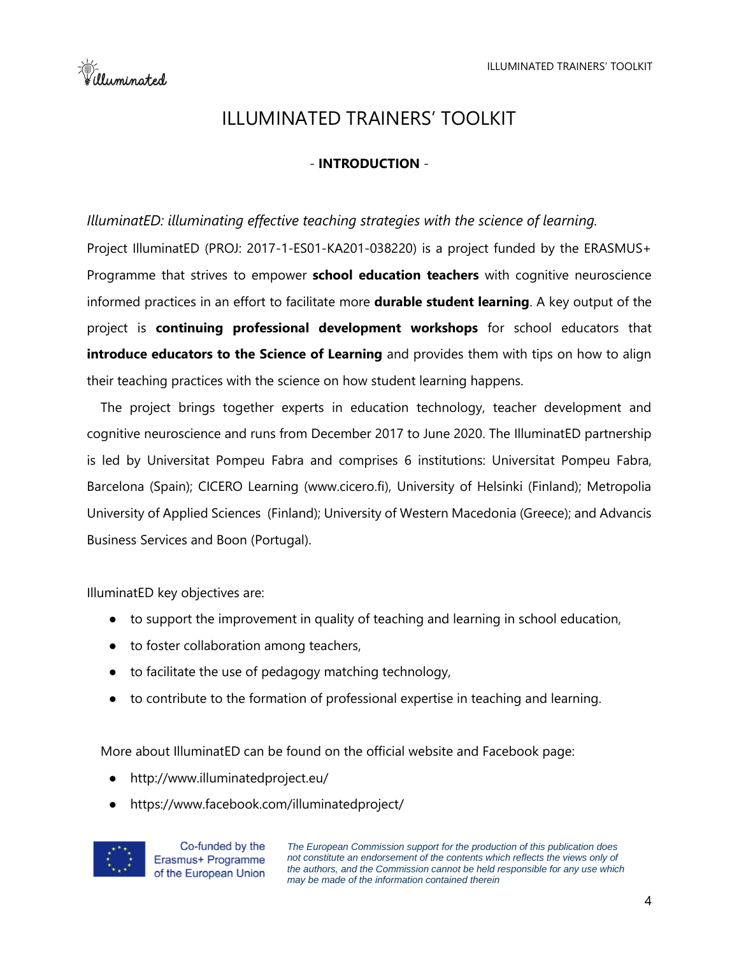E-<br>Filluminated

# ILLUMINATED TRAINERS' TOOLKIT

# - **INTRODUCTION** -

### *IlluminatED: illuminating effective teaching strategies with the science of learning.*

Project IlluminatED (PROJ: 2017-1-ES01-KA201-038220) is a project funded by the ERASMUS+ Programme that strives to empower **school education teachers** with cognitive neuroscience informed practices in an effort to facilitate more **durable student learning**. A key output of the project is **continuing professional development workshops** for school educators that **introduce educators to the Science of Learning** and provides them with tips on how to align their teaching practices with the science on how student learning happens.

The project brings together experts in education technology, teacher development and cognitive neuroscience and runs from December 2017 to June 2020. The IlluminatED partnership is led by Universitat Pompeu Fabra and comprises 6 institutions: Universitat Pompeu Fabra, Barcelona (Spain); CICERO Learning (www.cicero.fi), University of Helsinki (Finland); Metropolia University of Applied Sciences (Finland); University of Western Macedonia (Greece); and Advancis Business Services and Boon (Portugal).

IlluminatED key objectives are:

- to support the improvement in quality of teaching and learning in school education,
- to foster collaboration among teachers,
- to facilitate the use of pedagogy matching technology,
- to contribute to the formation of professional expertise in teaching and learning.

More about IlluminatED can be found on the official website and Facebook page:

- http://www.illuminatedproject.eu/
- https://www.facebook.com/illuminatedproject/

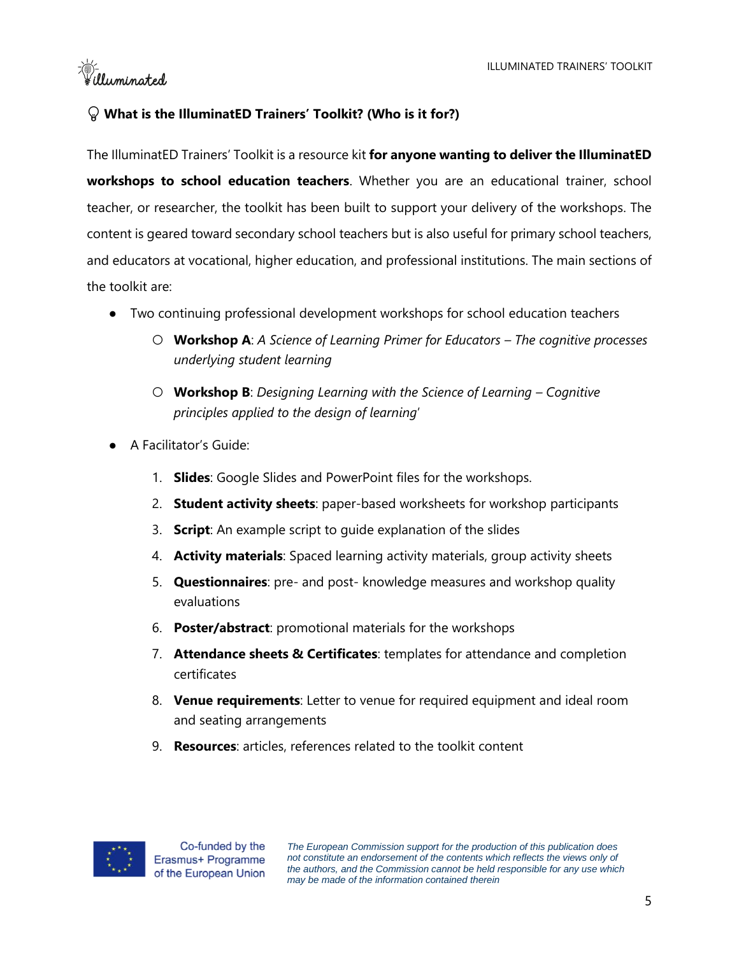-```<br>````illuminated

# **What is the IlluminatED Trainers' Toolkit? (Who is it for?)**

The IlluminatED Trainers' Toolkit is a resource kit **for anyone wanting to deliver the IlluminatED workshops to school education teachers**. Whether you are an educational trainer, school teacher, or researcher, the toolkit has been built to support your delivery of the workshops. The content is geared toward secondary school teachers but is also useful for primary school teachers, and educators at vocational, higher education, and professional institutions. The main sections of the toolkit are:

- Two continuing professional development workshops for school education teachers
	- **Workshop A**: *A Science of Learning Primer for Educators – The cognitive processes underlying student learning*
	- **Workshop B**: *Designing Learning with the Science of Learning – Cognitive principles applied to the design of learning*'
- A Facilitator's Guide:
	- 1. **Slides**: Google Slides and PowerPoint files for the workshops.
	- 2. **Student activity sheets**: paper-based worksheets for workshop participants
	- 3. **Script**: An example script to guide explanation of the slides
	- 4. **Activity materials**: Spaced learning activity materials, group activity sheets
	- 5. **Questionnaires**: pre- and post- knowledge measures and workshop quality evaluations
	- 6. **Poster/abstract**: promotional materials for the workshops
	- 7. **Attendance sheets & Certificates**: templates for attendance and completion certificates
	- 8. **Venue requirements**: Letter to venue for required equipment and ideal room and seating arrangements
	- 9. **Resources**: articles, references related to the toolkit content

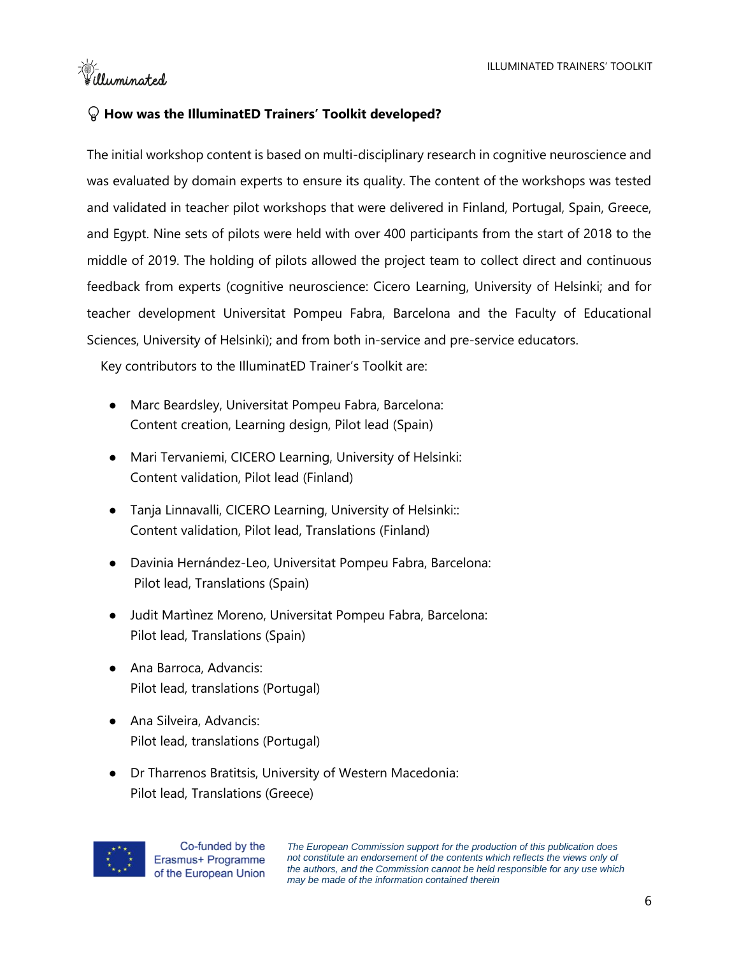ter :<br>Wuminated

# **How was the IlluminatED Trainers' Toolkit developed?**

The initial workshop content is based on multi-disciplinary research in cognitive neuroscience and was evaluated by domain experts to ensure its quality. The content of the workshops was tested and validated in teacher pilot workshops that were delivered in Finland, Portugal, Spain, Greece, and Egypt. Nine sets of pilots were held with over 400 participants from the start of 2018 to the middle of 2019. The holding of pilots allowed the project team to collect direct and continuous feedback from experts (cognitive neuroscience: Cicero Learning, University of Helsinki; and for teacher development Universitat Pompeu Fabra, Barcelona and the Faculty of Educational Sciences, University of Helsinki); and from both in-service and pre-service educators.

Key contributors to the IlluminatED Trainer's Toolkit are:

- Marc Beardsley, Universitat Pompeu Fabra, Barcelona: Content creation, Learning design, Pilot lead (Spain)
- Mari Tervaniemi, CICERO Learning, University of Helsinki: Content validation, Pilot lead (Finland)
- Tanja Linnavalli, CICERO Learning, University of Helsinki:: Content validation, Pilot lead, Translations (Finland)
- Davinia Hernández-Leo, Universitat Pompeu Fabra, Barcelona: Pilot lead, Translations (Spain)
- Judit Martìnez Moreno, Universitat Pompeu Fabra, Barcelona: Pilot lead, Translations (Spain)
- Ana Barroca, Advancis: Pilot lead, translations (Portugal)
- Ana Silveira, Advancis: Pilot lead, translations (Portugal)
- Dr Tharrenos Bratitsis, University of Western Macedonia: Pilot lead, Translations (Greece)



Co-funded by the Erasmus+ Programme of the European Union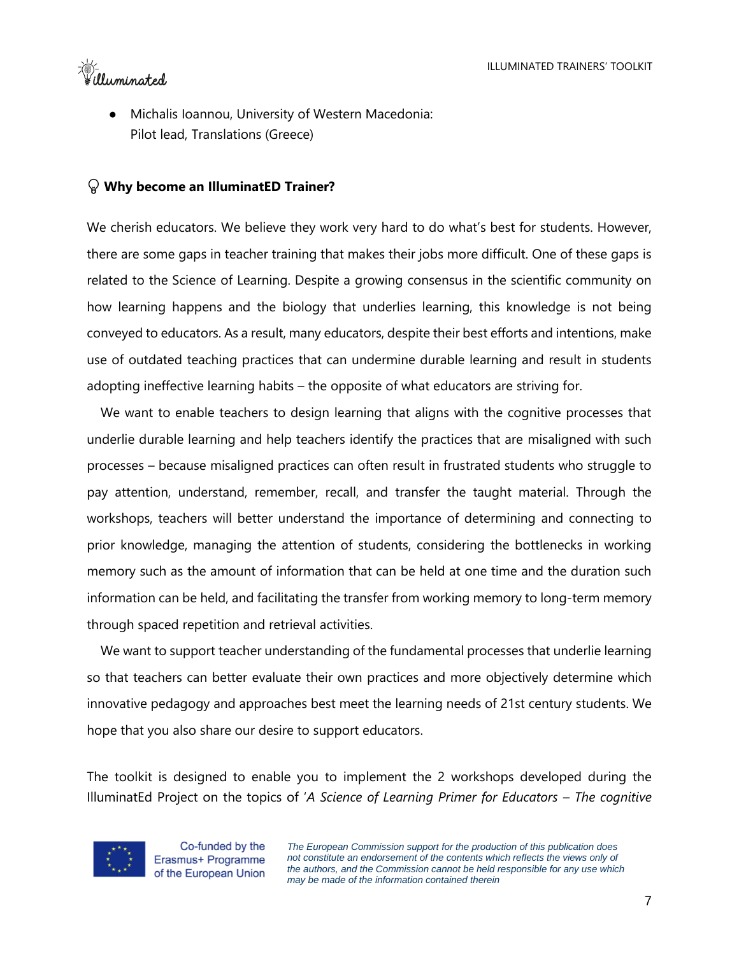=\\frac{\frac{\frac{\frac{\frac{\frac{\frac{\frac{\frac{\frac{\frac{\frac{\frac{\frac{\frac{\frac{\frac{\frac{\frac{\frac{\frac{\frac{\frac{\frac{\frac{\frac{\frac{\frac{\frac{\frac{\frac{\frac{\frac{\frac{\frac{\frac{\fra

Michalis Ioannou, University of Western Macedonia: Pilot lead, Translations (Greece)

### **Why become an IlluminatED Trainer?**

We cherish educators. We believe they work very hard to do what's best for students. However, there are some gaps in teacher training that makes their jobs more difficult. One of these gaps is related to the Science of Learning. Despite a growing consensus in the scientific community on how learning happens and the biology that underlies learning, this knowledge is not being conveyed to educators. As a result, many educators, despite their best efforts and intentions, make use of outdated teaching practices that can undermine durable learning and result in students adopting ineffective learning habits – the opposite of what educators are striving for.

We want to enable teachers to design learning that aligns with the cognitive processes that underlie durable learning and help teachers identify the practices that are misaligned with such processes – because misaligned practices can often result in frustrated students who struggle to pay attention, understand, remember, recall, and transfer the taught material. Through the workshops, teachers will better understand the importance of determining and connecting to prior knowledge, managing the attention of students, considering the bottlenecks in working memory such as the amount of information that can be held at one time and the duration such information can be held, and facilitating the transfer from working memory to long-term memory through spaced repetition and retrieval activities.

We want to support teacher understanding of the fundamental processes that underlie learning so that teachers can better evaluate their own practices and more objectively determine which innovative pedagogy and approaches best meet the learning needs of 21st century students. We hope that you also share our desire to support educators.

The toolkit is designed to enable you to implement the 2 workshops developed during the IlluminatEd Project on the topics of '*A Science of Learning Primer for Educators – The cognitive* 



Co-funded by the Erasmus+ Programme of the European Union